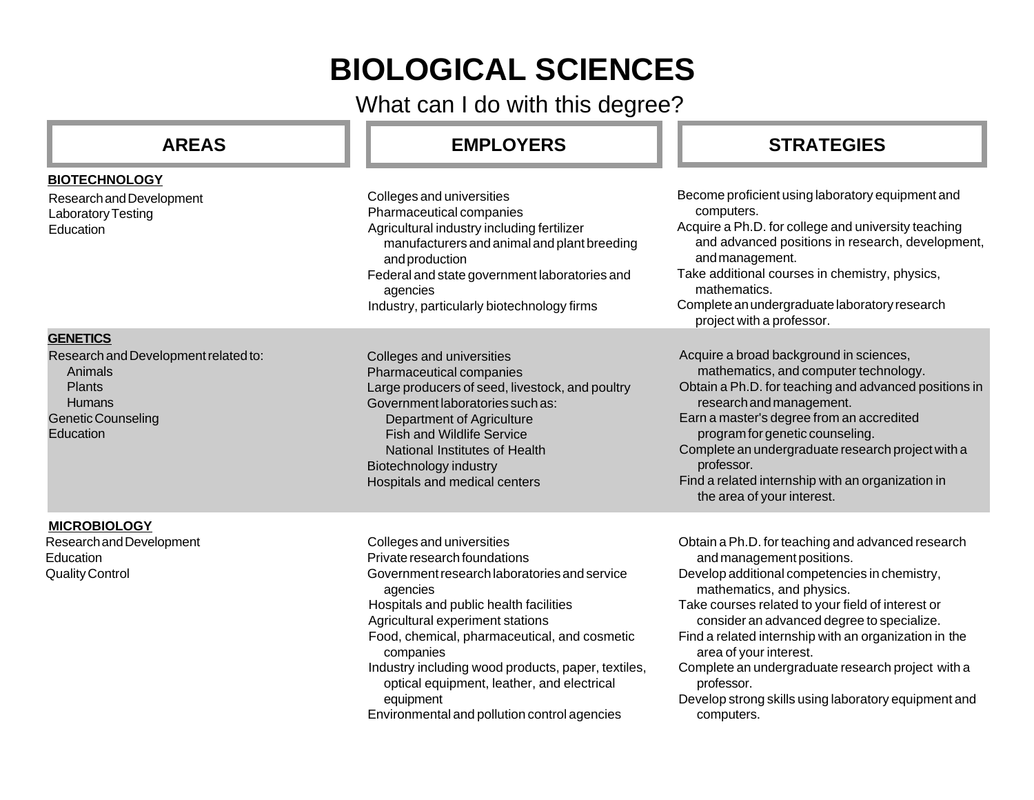# **BIOLOGICAL SCIENCES**

What can I do with this degree?

#### **AREAS EMPLOYERS STRATEGIES** Research and Development Laboratory Testing Education **BIOTECHNOLOGY** Colleges and universities Pharmaceutical companies Agricultural industry including fertilizer manufacturers and animal and plant breeding and production Federal and state government laboratories and agencies Industry, particularly biotechnology firms Become proficient using laboratory equipment and computers. Acquire a Ph.D. for college and university teaching and advanced positions in research, development, and management. Take additional courses in chemistry, physics, mathematics. Complete an undergraduate laboratory research project with a professor. **GENETICS** Research and Development related to: Animals Plants **Humans** Genetic Counseling **Education** Colleges and universities Pharmaceutical companies Large producers of seed, livestock, and poultry Government laboratories such as: Department of Agriculture Fish and Wildlife Service National Institutes of Health Biotechnology industry Hospitals and medical centers Acquire a broad background in sciences, mathematics, and computer technology. Obtain a Ph.D. for teaching and advanced positions in research and management. Earn a master's degree from an accredited program for genetic counseling. Complete an undergraduate research project with a professor. Find a related internship with an organization in the area of your interest. Colleges and universities Private research foundations Government research laboratories and service agencies Hospitals and public health facilities Agricultural experiment stations Food, chemical, pharmaceutical, and cosmetic companies Industry including wood products, paper, textiles, optical equipment, leather, and electrical equipment **MICROBIOLOGY** Research and Development **Education** Quality Control Obtain a Ph.D. for teaching and advanced research and management positions. Develop additional competencies in chemistry, mathematics, and physics. Take courses related to your field of interest or consider an advanced degree to specialize. Find a related internship with an organization in the area of your interest. Complete an undergraduate research project with a professor. Develop strong skills using laboratory equipment and

Environmental and pollution control agencies

computers.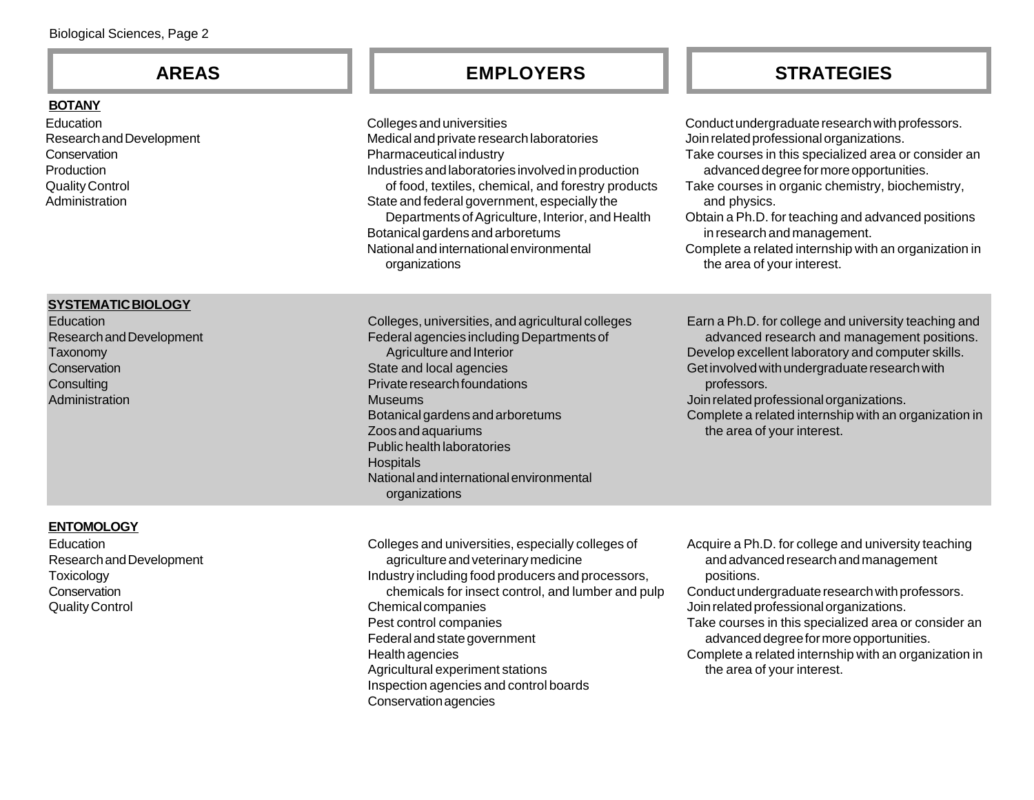#### **BOTANY**

Education Research and Development **Conservation Production** Quality Control Administration

### **SYSTEMATIC BIOLOGY**

**Education** Research and Development **Taxonomy Conservation Consulting** Administration

Colleges and universities Medical and private research laboratories Pharmaceutical industry Industries and laboratories involved in production of food, textiles, chemical, and forestry product State and federal government, especially the Departments of Agriculture, Interior, and Health Botanical gardens and arboretums National and international environmental organizations

Colleges, universities, and agricultural colleges Federal agencies including Departments of Agriculture and Interior State and local agencies Private research foundations Museums Botanical gardens and arboretums Zoos and aquariums Public health laboratories **Hospitals** National and international environmental organizations

**AREAS EMPLOYERS STRATEGIES**

|    | Conduct undergraduate research with professors.<br>Join related professional organizations.<br>Take courses in this specialized area or consider an<br>advanced degree for more opportunities. |
|----|------------------------------------------------------------------------------------------------------------------------------------------------------------------------------------------------|
| ts | Take courses in organic chemistry, biochemistry,<br>and physics.                                                                                                                               |
|    | Obtain a Ph.D. for teaching and advanced positions<br>in research and management.                                                                                                              |
|    | Complete a related internship with an organization in<br>the area of your interest.                                                                                                            |
|    | Earn a Ph.D. for college and university teaching and                                                                                                                                           |
|    | advanced research and management positions.<br>Develop excellent laboratory and computer skills.<br>Get involved with undergraduate research with                                              |
|    | professors.<br>Join related professional organizations.                                                                                                                                        |
|    | Complete a related internship with an organization in<br>the area of your interest.                                                                                                            |
|    |                                                                                                                                                                                                |

#### **ENTOMOLOGY**

**Education** Research and Development **Toxicology Conservation** Quality Control

Colleges and universities, especially colleges of agriculture and veterinary medicine Industry including food producers and processors, chemicals for insect control, and lumber and pulp Chemical companies Pest control companies Federal and state government Health agencies Agricultural experiment stations Inspection agencies and control boards Conservation agencies

Acquire a Ph.D. for college and university teaching and advanced research and management positions.

Conduct undergraduate research with professors. Join related professional organizations.

- Take courses in this specialized area or consider an advanced degree for more opportunities.
- Complete a related internship with an organization in the area of your interest.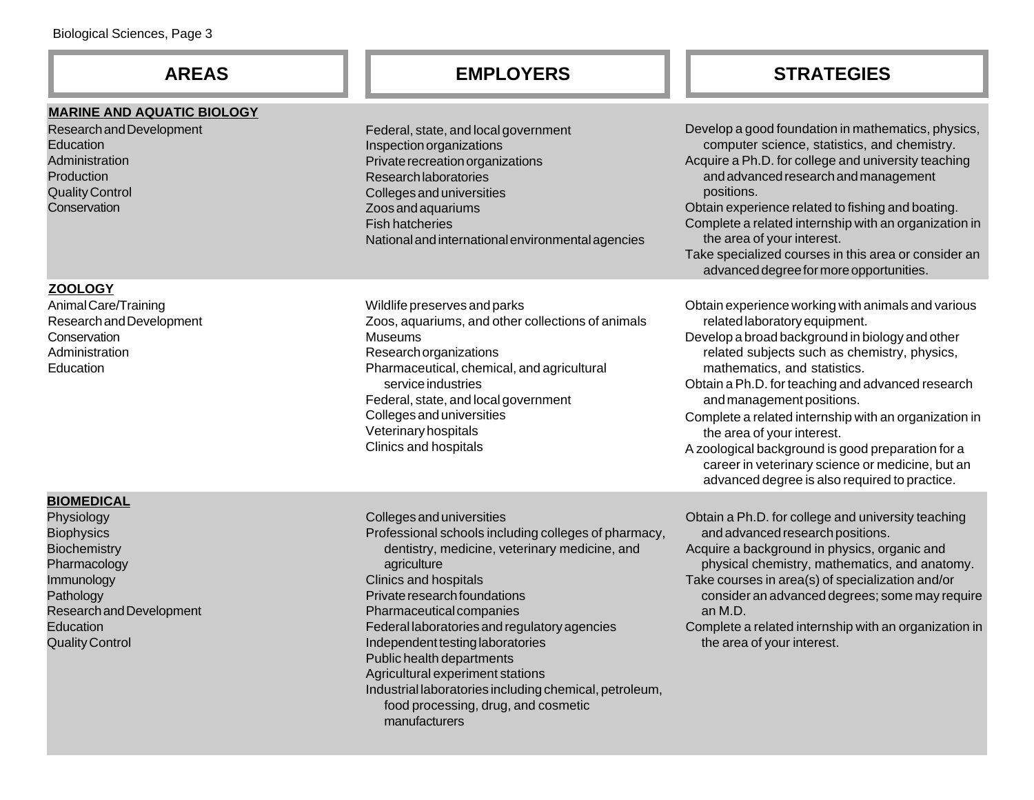### **MARINE AND AQUATIC BIOLOGY**

Research and Development **Education Administration Production** Quality Control **Conservation** 

### **ZOOLOGY**

Animal Care/Training Research and Development **Conservation** Administration Education

### **BIOMEDICAL**

Physiology Biophysics **Biochemistry** Pharmacology Immunology Pathology Research and Development **Education** Quality Control

Federal, state, and local government Inspection organizations Private recreation organizations Research laboratories Colleges and universities Zoos and aquariums Fish hatcheries National and international environmental agencies

Wildlife preserves and parks Zoos, aquariums, and other collections of animals Museums Research organizations Pharmaceutical, chemical, and agricultural service industries Federal, state, and local government Colleges and universities Veterinary hospitals Clinics and hospitals

Colleges and universities Professional schools including colleges of pharmacy, dentistry, medicine, veterinary medicine, and agriculture Clinics and hospitals Private research foundations Pharmaceutical companies Federal laboratories and regulatory agencies Independent testing laboratories Public health departments Agricultural experiment stations Industrial laboratories including chemical, petroleum, food processing, drug, and cosmetic manufacturers

# **AREAS EMPLOYERS STRATEGIES**

Develop a good foundation in mathematics, physics, computer science, statistics, and chemistry. Acquire a Ph.D. for college and university teaching and advanced research and management positions. Obtain experience related to fishing and boating. Complete a related internship with an organization in the area of your interest. Take specialized courses in this area or consider an advanced degree for more opportunities. Obtain experience working with animals and various related laboratory equipment. Develop a broad background in biology and other related subjects such as chemistry, physics, mathematics, and statistics. Obtain a Ph.D. for teaching and advanced research and management positions. Obtain a Ph.D. for college and university teaching and advanced research positions. Acquire a background in physics, organic and physical chemistry, mathematics, and anatomy. Take courses in area(s) of specialization and/or consider an advanced degrees; some may require an M.D. Complete a related internship with an organization in the area of your interest. A zoological background is good preparation for a career in veterinary science or medicine, but an advanced degree is also required to practice.

 Complete a related internship with an organization in the area of your interest.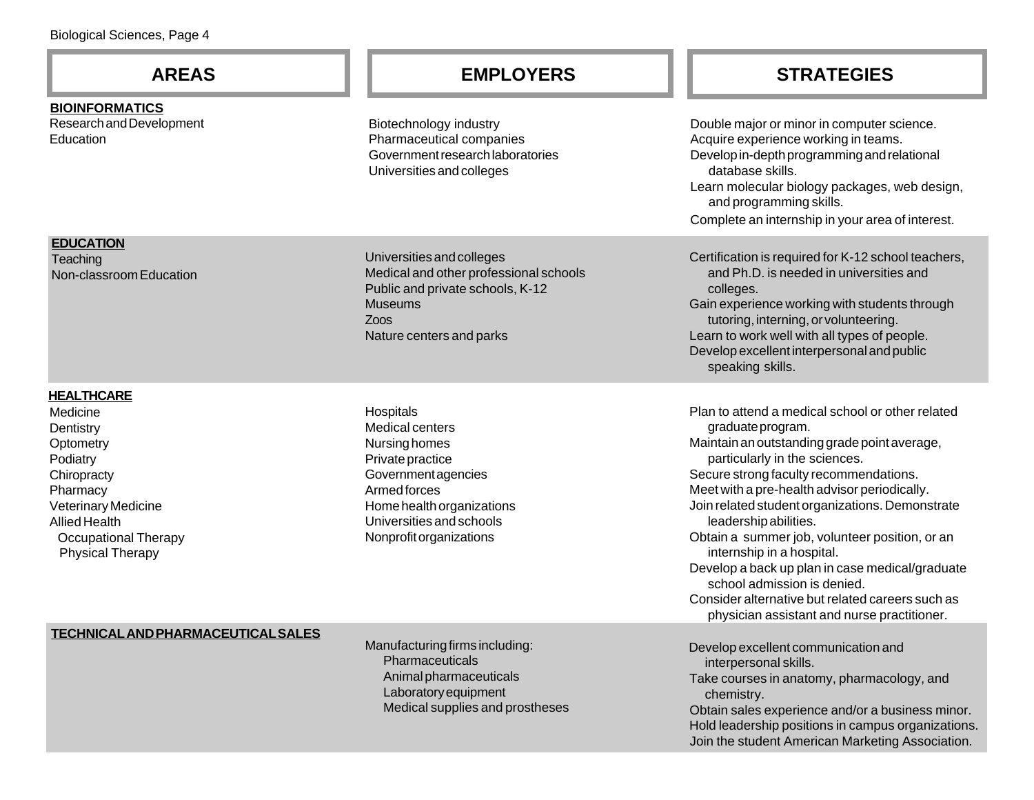**BIOINFORMATICS** Research and Development **Education** 

Biotechnology industry Pharmaceutical companies Government research laboratories Universities and colleges

Universities and colleges Medical and other professional schools Public and private schools, K-12 **Museums** Zoos Nature centers and parks

**Hospitals** Medical centers Nursing homes Private practice Government agencies Armed forces Home health organizations Universities and schools Nonprofit organizations

## **AREAS EMPLOYERS STRATEGIES**

Double major or minor in computer science. Acquire experience working in teams. Develop in-depth programming and relational database skills. Learn molecular biology packages, web design, and programming skills. Complete an internship in your area of interest.

Certification is required for K-12 school teachers, and Ph.D. is needed in universities and colleges. Gain experience working with students through tutoring, interning, or volunteering. Learn to work well with all types of people. Develop excellent interpersonal and public speaking skills.

Plan to attend a medical school or other related graduate program. Maintain an outstanding grade point average, particularly in the sciences. Secure strong faculty recommendations. Meet with a pre-health advisor periodically. Join related student organizations. Demonstrate leadership abilities. Obtain a summer job, volunteer position, or an internship in a hospital. Develop a back up plan in case medical/graduate school admission is denied. Consider alternative but related careers such as physician assistant and nurse practitioner.

 Develop excellent communication and interpersonal skills. Take courses in anatomy, pharmacology, and chemistry. Obtain sales experience and/or a business minor. Hold leadership positions in campus organizations. Join the student American Marketing Association.

#### **EDUCATION**

**Teaching** Non-classroom Education

#### **HEALTHCARE**

Medicine **Dentistry Optometry** Podiatry **Chiropracty Pharmacy** Veterinary Medicine Allied Health Occupational Therapy Physical Therapy

#### **TECHNICAL AND PHARMACEUTICAL SALES**

Manufacturing firms including: Pharmaceuticals Animal pharmaceuticals Laboratory equipment Medical supplies and prostheses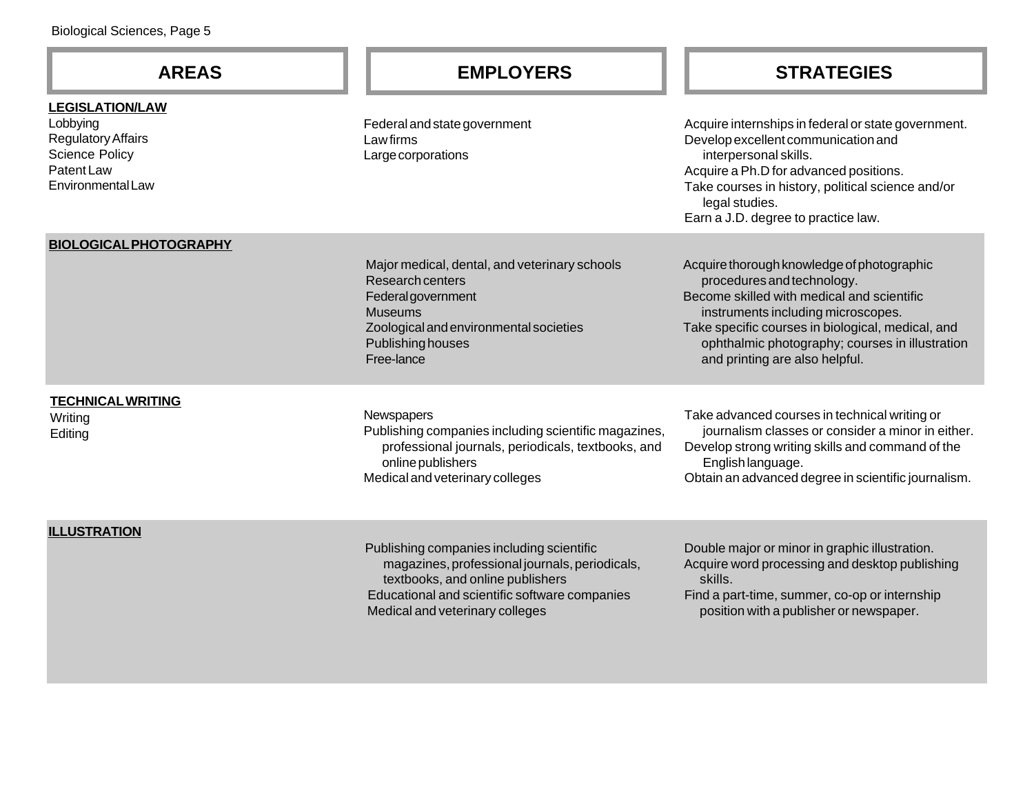#### **LEGISLATION/LAW**

Lobbying Regulatory Affairs Science Policy Patent Law Environmental Law

Federal and state government Law firms Large corporations

# **AREAS EMPLOYERS STRATEGIES**

Acquire internships in federal or state government. Develop excellent communication and interpersonal skills. Acquire a Ph.D for advanced positions. Take courses in history, political science and/or legal studies. Earn a J.D. degree to practice law.

#### **BIOLOGICAL PHOTOGRAPHY**

Major medical, dental, and veterinary schools Research centers Federal government Museums Zoological and environmental societies Publishing houses Free-lance

Acquire thorough knowledge of photographic procedures and technology. Become skilled with medical and scientific instruments including microscopes. Take specific courses in biological, medical, and ophthalmic photography; courses in illustration and printing are also helpful.

### **TECHNICAL WRITING**

Writing Editing

#### **Newspapers**

Publishing companies including scientific magazines, professional journals, periodicals, textbooks, and online publishers Medical and veterinary colleges

Take advanced courses in technical writing or journalism classes or consider a minor in either. Develop strong writing skills and command of the English language.

Obtain an advanced degree in scientific journalism.

#### **ILLUSTRATION**

Publishing companies including scientific magazines, professional journals, periodicals, textbooks, and online publishers Educational and scientific software companies Medical and veterinary colleges

 Double major or minor in graphic illustration. Acquire word processing and desktop publishing skills.

 Find a part-time, summer, co-op or internship position with a publisher or newspaper.